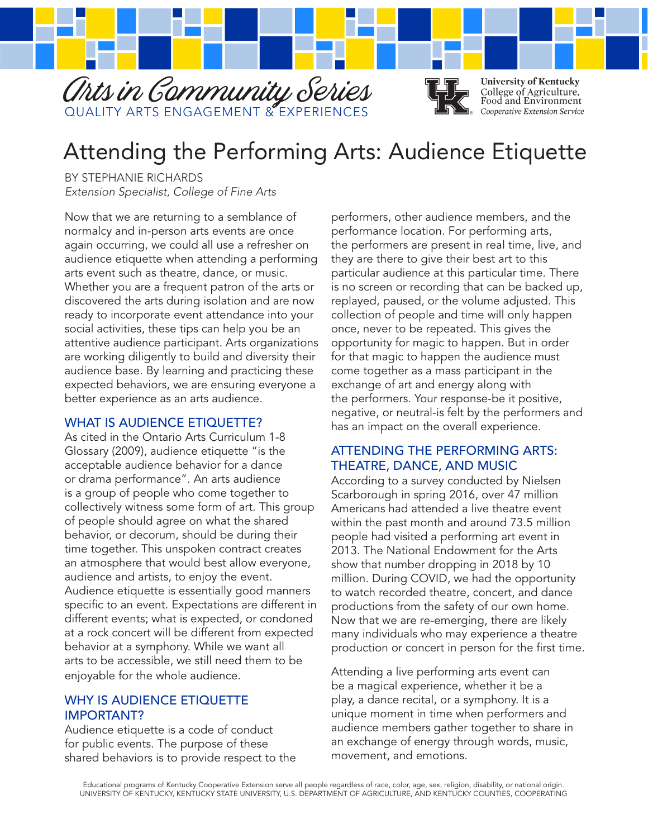

# Attending the Performing Arts: Audience Etiquette

BY STEPHANIE RICHARDS *Extension Specialist, College of Fine Arts*

Now that we are returning to a semblance of normalcy and in-person arts events are once again occurring, we could all use a refresher on audience etiquette when attending a performing arts event such as theatre, dance, or music. Whether you are a frequent patron of the arts or discovered the arts during isolation and are now ready to incorporate event attendance into your social activities, these tips can help you be an attentive audience participant. Arts organizations are working diligently to build and diversity their audience base. By learning and practicing these expected behaviors, we are ensuring everyone a better experience as an arts audience.

# WHAT IS AUDIFNCE FTIOUFTTF?

As cited in the Ontario Arts Curriculum 1-8 Glossary (2009), audience etiquette "is the acceptable audience behavior for a dance or drama performance". An arts audience is a group of people who come together to collectively witness some form of art. This group of people should agree on what the shared behavior, or decorum, should be during their time together. This unspoken contract creates an atmosphere that would best allow everyone, audience and artists, to enjoy the event. Audience etiquette is essentially good manners specific to an event. Expectations are different in different events; what is expected, or condoned at a rock concert will be different from expected behavior at a symphony. While we want all arts to be accessible, we still need them to be enjoyable for the whole audience.

# WHY IS AUDIENCE ETIQUETTE IMPORTANT?

Audience etiquette is a code of conduct for public events. The purpose of these shared behaviors is to provide respect to the performers, other audience members, and the performance location. For performing arts, the performers are present in real time, live, and they are there to give their best art to this particular audience at this particular time. There is no screen or recording that can be backed up, replayed, paused, or the volume adjusted. This collection of people and time will only happen once, never to be repeated. This gives the opportunity for magic to happen. But in order for that magic to happen the audience must come together as a mass participant in the exchange of art and energy along with the performers. Your response-be it positive, negative, or neutral-is felt by the performers and has an impact on the overall experience.

# ATTENDING THE PERFORMING ARTS: THEATRE, DANCE, AND MUSIC

According to a survey conducted by Nielsen Scarborough in spring 2016, over 47 million Americans had attended a live theatre event within the past month and around 73.5 million people had visited a performing art event in 2013. The National Endowment for the Arts show that number dropping in 2018 by 10 million. During COVID, we had the opportunity to watch recorded theatre, concert, and dance productions from the safety of our own home. Now that we are re-emerging, there are likely many individuals who may experience a theatre production or concert in person for the first time.

Attending a live performing arts event can be a magical experience, whether it be a play, a dance recital, or a symphony. It is a unique moment in time when performers and audience members gather together to share in an exchange of energy through words, music, movement, and emotions.